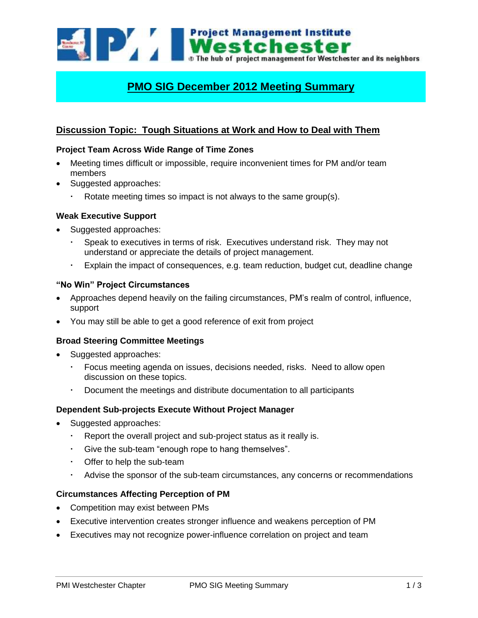

# **PMO SIG December 2012 Meeting Summary**

## **Discussion Topic: Tough Situations at Work and How to Deal with Them**

### **Project Team Across Wide Range of Time Zones**

- Meeting times difficult or impossible, require inconvenient times for PM and/or team members
- Suggested approaches:
	- Rotate meeting times so impact is not always to the same group(s).

#### **Weak Executive Support**

- Suggested approaches:
	- Speak to executives in terms of risk. Executives understand risk. They may not understand or appreciate the details of project management.
	- Explain the impact of consequences, e.g. team reduction, budget cut, deadline change

#### **"No Win" Project Circumstances**

- Approaches depend heavily on the failing circumstances, PM's realm of control, influence, support
- You may still be able to get a good reference of exit from project

## **Broad Steering Committee Meetings**

- Suggested approaches:
	- Focus meeting agenda on issues, decisions needed, risks. Need to allow open discussion on these topics.
	- Document the meetings and distribute documentation to all participants

#### **Dependent Sub-projects Execute Without Project Manager**

- Suggested approaches:
	- Report the overall project and sub-project status as it really is.
	- Give the sub-team "enough rope to hang themselves".
	- Offer to help the sub-team
	- Advise the sponsor of the sub-team circumstances, any concerns or recommendations

## **Circumstances Affecting Perception of PM**

- Competition may exist between PMs
- Executive intervention creates stronger influence and weakens perception of PM
- Executives may not recognize power-influence correlation on project and team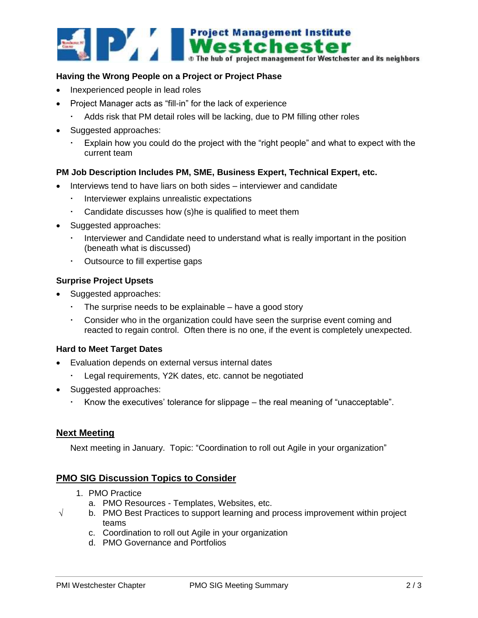

### **Having the Wrong People on a Project or Project Phase**

- Inexperienced people in lead roles
- Project Manager acts as "fill-in" for the lack of experience
	- Adds risk that PM detail roles will be lacking, due to PM filling other roles
- Suggested approaches:
	- Explain how you could do the project with the "right people" and what to expect with the current team

#### **PM Job Description Includes PM, SME, Business Expert, Technical Expert, etc.**

- Interviews tend to have liars on both sides interviewer and candidate
	- **Interviewer explains unrealistic expectations**
	- Candidate discusses how (s)he is qualified to meet them
- Suggested approaches:
	- Interviewer and Candidate need to understand what is really important in the position (beneath what is discussed)
	- Outsource to fill expertise gaps

#### **Surprise Project Upsets**

- Suggested approaches:
	- The surprise needs to be explainable have a good story
	- Consider who in the organization could have seen the surprise event coming and reacted to regain control. Often there is no one, if the event is completely unexpected.

#### **Hard to Meet Target Dates**

- Evaluation depends on external versus internal dates
	- Legal requirements, Y2K dates, etc. cannot be negotiated
- Suggested approaches:
	- Know the executives' tolerance for slippage the real meaning of "unacceptable".

## **Next Meeting**

Next meeting in January. Topic: "Coordination to roll out Agile in your organization"

## **PMO SIG Discussion Topics to Consider**

- 1. PMO Practice
	- a. PMO Resources Templates, Websites, etc.
- $\sqrt{\phantom{a}}$  b. PMO Best Practices to support learning and process improvement within project teams
	- c. Coordination to roll out Agile in your organization
	- d. PMO Governance and Portfolios